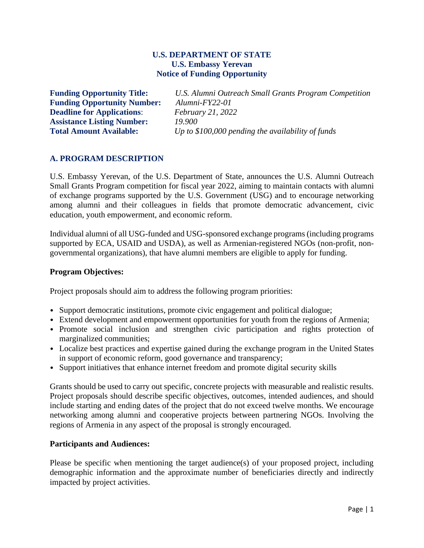### **U.S. DEPARTMENT OF STATE U.S. Embassy Yerevan Notice of Funding Opportunity**

**Funding Opportunity Number:** *Alumni-FY22-01* **Deadline for Applications**: *February 21, 2022* **Assistance Listing Number:** *19.900* **Total Amount Available:** *Up to \$100,000 pending the availability of funds*

**Funding Opportunity Title:** *U.S. Alumni Outreach Small Grants Program Competition*

### **A. PROGRAM DESCRIPTION**

U.S. Embassy Yerevan, of the U.S. Department of State, announces the U.S. Alumni Outreach Small Grants Program competition for fiscal year 2022, aiming to maintain contacts with alumni of exchange programs supported by the U.S. Government (USG) and to encourage networking among alumni and their colleagues in fields that promote democratic advancement, civic education, youth empowerment, and economic reform.

Individual alumni of all USG-funded and USG-sponsored exchange programs (including programs supported by ECA, USAID and USDA), as well as Armenian-registered NGOs (non-profit, nongovernmental organizations), that have alumni members are eligible to apply for funding.

#### **Program Objectives:**

Project proposals should aim to address the following program priorities:

- Support democratic institutions, promote civic engagement and political dialogue;
- Extend development and empowerment opportunities for youth from the regions of Armenia;
- Promote social inclusion and strengthen civic participation and rights protection of marginalized communities;
- Localize best practices and expertise gained during the exchange program in the United States in support of economic reform, good governance and transparency;
- Support initiatives that enhance internet freedom and promote digital security skills

Grants should be used to carry out specific, concrete projects with measurable and realistic results. Project proposals should describe specific objectives, outcomes, intended audiences, and should include starting and ending dates of the project that do not exceed twelve months. We encourage networking among alumni and cooperative projects between partnering NGOs. Involving the regions of Armenia in any aspect of the proposal is strongly encouraged.

#### **Participants and Audiences:**

Please be specific when mentioning the target audience(s) of your proposed project, including demographic information and the approximate number of beneficiaries directly and indirectly impacted by project activities.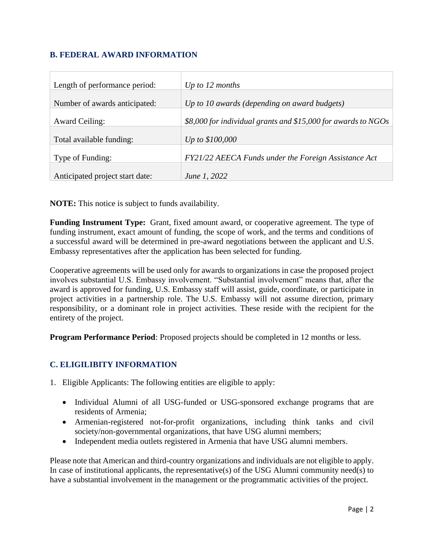# **B. FEDERAL AWARD INFORMATION**

| Length of performance period:   | Up to $12$ months                                             |
|---------------------------------|---------------------------------------------------------------|
| Number of awards anticipated:   | Up to 10 awards (depending on award budgets)                  |
| <b>Award Ceiling:</b>           | \$8,000 for individual grants and \$15,000 for awards to NGOs |
| Total available funding:        | <i>Up to \$100,000</i>                                        |
| Type of Funding:                | FY21/22 AEECA Funds under the Foreign Assistance Act          |
| Anticipated project start date: | June 1, 2022                                                  |

**NOTE:** This notice is subject to funds availability.

**Funding Instrument Type:** Grant, fixed amount award, or cooperative agreement. The type of funding instrument, exact amount of funding, the scope of work, and the terms and conditions of a successful award will be determined in pre-award negotiations between the applicant and U.S. Embassy representatives after the application has been selected for funding.

Cooperative agreements will be used only for awards to organizations in case the proposed project involves substantial U.S. Embassy involvement. "Substantial involvement" means that, after the award is approved for funding, U.S. Embassy staff will assist, guide, coordinate, or participate in project activities in a partnership role. The U.S. Embassy will not assume direction, primary responsibility, or a dominant role in project activities. These reside with the recipient for the entirety of the project.

**Program Performance Period**: Proposed projects should be completed in 12 months or less.

### **C. ELIGILIBITY INFORMATION**

- 1. Eligible Applicants: The following entities are eligible to apply:
	- Individual Alumni of all USG-funded or USG-sponsored exchange programs that are residents of Armenia;
	- Armenian-registered not-for-profit organizations, including think tanks and civil society/non-governmental organizations, that have USG alumni members;
	- Independent media outlets registered in Armenia that have USG alumni members.

Please note that American and third-country organizations and individuals are not eligible to apply. In case of institutional applicants, the representative(s) of the USG Alumni community need(s) to have a substantial involvement in the management or the programmatic activities of the project.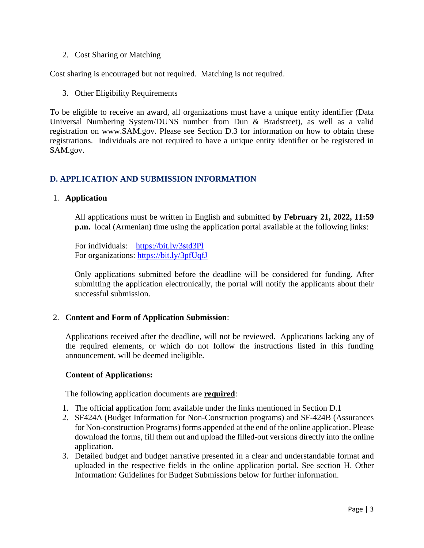2. Cost Sharing or Matching

Cost sharing is encouraged but not required. Matching is not required.

3. Other Eligibility Requirements

To be eligible to receive an award, all organizations must have a unique entity identifier (Data Universal Numbering System/DUNS number from Dun & Bradstreet), as well as a valid registration on www.SAM.gov. Please see Section D.3 for information on how to obtain these registrations. Individuals are not required to have a unique entity identifier or be registered in SAM.gov.

## **D. APPLICATION AND SUBMISSION INFORMATION**

### 1. **Application**

All applications must be written in English and submitted **by February 21, 2022, 11:59 p.m.** local (Armenian) time using the application portal available at the following links:

For individuals: <https://bit.ly/3std3Pl> For organizations: <https://bit.ly/3pfUqfJ>

Only applications submitted before the deadline will be considered for funding. After submitting the application electronically, the portal will notify the applicants about their successful submission.

### 2. **Content and Form of Application Submission**:

Applications received after the deadline, will not be reviewed. Applications lacking any of the required elements, or which do not follow the instructions listed in this funding announcement, will be deemed ineligible.

### **Content of Applications:**

The following application documents are **required**:

- 1. The official application form available under the links mentioned in Section D.1
- 2. SF424A (Budget Information for Non-Construction programs) and SF-424B (Assurances for Non-construction Programs) forms appended at the end of the online application. Please download the forms, fill them out and upload the filled-out versions directly into the online application.
- 3. Detailed budget and budget narrative presented in a clear and understandable format and uploaded in the respective fields in the online application portal. See section H. Other Information: Guidelines for Budget Submissions below for further information.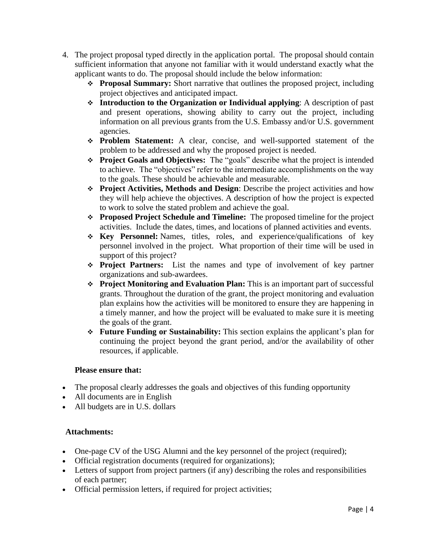- 4. The project proposal typed directly in the application portal. The proposal should contain sufficient information that anyone not familiar with it would understand exactly what the applicant wants to do. The proposal should include the below information:
	- ❖ **Proposal Summary:** Short narrative that outlines the proposed project, including project objectives and anticipated impact.
	- ❖ **Introduction to the Organization or Individual applying**: A description of past and present operations, showing ability to carry out the project, including information on all previous grants from the U.S. Embassy and/or U.S. government agencies.
	- ❖ **Problem Statement:** A clear, concise, and well-supported statement of the problem to be addressed and why the proposed project is needed.
	- ❖ **Project Goals and Objectives:** The "goals" describe what the project is intended to achieve. The "objectives" refer to the intermediate accomplishments on the way to the goals. These should be achievable and measurable.
	- ❖ **Project Activities, Methods and Design**: Describe the project activities and how they will help achieve the objectives. A description of how the project is expected to work to solve the stated problem and achieve the goal.
	- ❖ **Proposed Project Schedule and Timeline:** The proposed timeline for the project activities. Include the dates, times, and locations of planned activities and events.
	- ❖ **Key Personnel:** Names, titles, roles, and experience/qualifications of key personnel involved in the project. What proportion of their time will be used in support of this project?
	- ❖ **Project Partners:** List the names and type of involvement of key partner organizations and sub-awardees.
	- ❖ **Project Monitoring and Evaluation Plan:** This is an important part of successful grants. Throughout the duration of the grant, the project monitoring and evaluation plan explains how the activities will be monitored to ensure they are happening in a timely manner, and how the project will be evaluated to make sure it is meeting the goals of the grant.
	- ❖ **Future Funding or Sustainability:** This section explains the applicant's plan for continuing the project beyond the grant period, and/or the availability of other resources, if applicable.

### **Please ensure that:**

- The proposal clearly addresses the goals and objectives of this funding opportunity
- All documents are in English
- All budgets are in U.S. dollars

### **Attachments:**

- One-page CV of the USG Alumni and the key personnel of the project (required);
- Official registration documents (required for organizations);
- Letters of support from project partners (if any) describing the roles and responsibilities of each partner;
- Official permission letters, if required for project activities;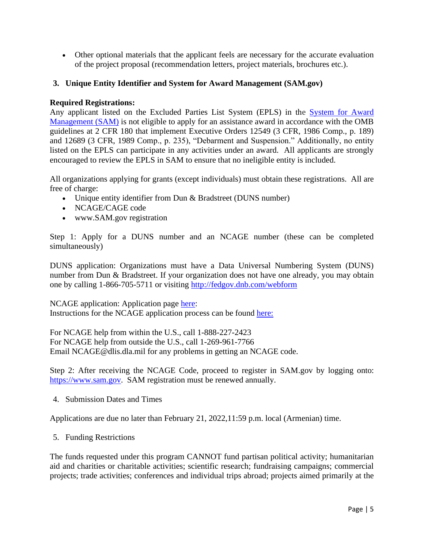• Other optional materials that the applicant feels are necessary for the accurate evaluation of the project proposal (recommendation letters, project materials, brochures etc.).

### **3. Unique Entity Identifier and System for Award Management (SAM.gov)**

### **Required Registrations:**

Any applicant listed on the Excluded Parties List System (EPLS) in the [System for Award](https://sam.gov/)  [Management \(SAM\)](https://sam.gov/) is not eligible to apply for an assistance award in accordance with the OMB guidelines at 2 CFR 180 that implement Executive Orders 12549 (3 CFR, 1986 Comp., p. 189) and 12689 (3 CFR, 1989 Comp., p. 235), "Debarment and Suspension." Additionally, no entity listed on the EPLS can participate in any activities under an award. All applicants are strongly encouraged to review the EPLS in SAM to ensure that no ineligible entity is included.

All organizations applying for grants (except individuals) must obtain these registrations. All are free of charge:

- Unique entity identifier from Dun & Bradstreet (DUNS number)
- NCAGE/CAGE code
- www.SAM.gov registration

Step 1: Apply for a DUNS number and an NCAGE number (these can be completed simultaneously)

DUNS application: Organizations must have a Data Universal Numbering System (DUNS) number from Dun & Bradstreet. If your organization does not have one already, you may obtain one by calling 1-866-705-5711 or visiting<http://fedgov.dnb.com/webform>

NCAGE application: Application page [here:](https://eportal.nspa.nato.int/AC135Public/scage/CageList.aspx) Instructions for the NCAGE application process can be found [here:](https://eportal.nspa.nato.int/AC135Public/Docs/US%20Instructions%20for%20NSPA%20NCAGE.pdf)

For NCAGE help from within the U.S., call 1-888-227-2423 For NCAGE help from outside the U.S., call 1-269-961-7766 Email NCAGE@dlis.dla.mil for any problems in getting an NCAGE code.

Step 2: After receiving the NCAGE Code, proceed to register in SAM.gov by logging onto: [https://www.sam.gov.](https://www.sam.gov/) SAM registration must be renewed annually.

4. Submission Dates and Times

Applications are due no later than February 21, 2022,11:59 p.m. local (Armenian) time.

5. Funding Restrictions

The funds requested under this program CANNOT fund partisan political activity; humanitarian aid and charities or charitable activities; scientific research; fundraising campaigns; commercial projects; trade activities; conferences and individual trips abroad; projects aimed primarily at the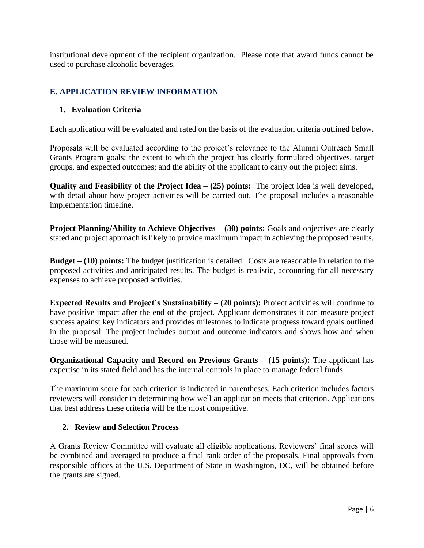institutional development of the recipient organization. Please note that award funds cannot be used to purchase alcoholic beverages.

## **E. APPLICATION REVIEW INFORMATION**

### **1. Evaluation Criteria**

Each application will be evaluated and rated on the basis of the evaluation criteria outlined below.

Proposals will be evaluated according to the project's relevance to the Alumni Outreach Small Grants Program goals; the extent to which the project has clearly formulated objectives, target groups, and expected outcomes; and the ability of the applicant to carry out the project aims.

**Quality and Feasibility of the Project Idea – (25) points:** The project idea is well developed, with detail about how project activities will be carried out. The proposal includes a reasonable implementation timeline.

**Project Planning/Ability to Achieve Objectives – (30) points:** Goals and objectives are clearly stated and project approach is likely to provide maximum impact in achieving the proposed results.

**Budget – (10) points:** The budget justification is detailed. Costs are reasonable in relation to the proposed activities and anticipated results. The budget is realistic, accounting for all necessary expenses to achieve proposed activities.

**Expected Results and Project's Sustainability – (20 points):** Project activities will continue to have positive impact after the end of the project. Applicant demonstrates it can measure project success against key indicators and provides milestones to indicate progress toward goals outlined in the proposal. The project includes output and outcome indicators and shows how and when those will be measured.

**Organizational Capacity and Record on Previous Grants – (15 points):** The applicant has expertise in its stated field and has the internal controls in place to manage federal funds.

The maximum score for each criterion is indicated in parentheses. Each criterion includes factors reviewers will consider in determining how well an application meets that criterion. Applications that best address these criteria will be the most competitive.

### **2. Review and Selection Process**

A Grants Review Committee will evaluate all eligible applications. Reviewers' final scores will be combined and averaged to produce a final rank order of the proposals. Final approvals from responsible offices at the U.S. Department of State in Washington, DC, will be obtained before the grants are signed.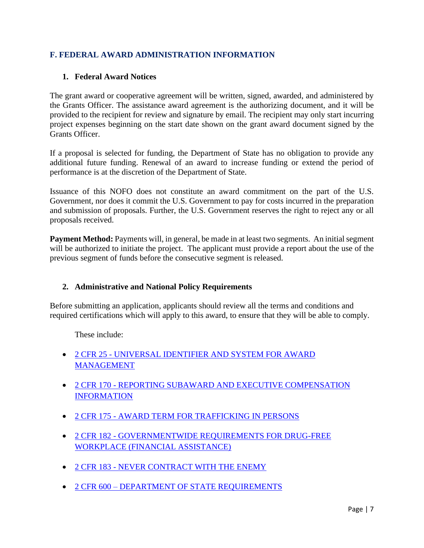## **F. FEDERAL AWARD ADMINISTRATION INFORMATION**

### **1. Federal Award Notices**

The grant award or cooperative agreement will be written, signed, awarded, and administered by the Grants Officer. The assistance award agreement is the authorizing document, and it will be provided to the recipient for review and signature by email. The recipient may only start incurring project expenses beginning on the start date shown on the grant award document signed by the Grants Officer.

If a proposal is selected for funding, the Department of State has no obligation to provide any additional future funding. Renewal of an award to increase funding or extend the period of performance is at the discretion of the Department of State.

Issuance of this NOFO does not constitute an award commitment on the part of the U.S. Government, nor does it commit the U.S. Government to pay for costs incurred in the preparation and submission of proposals. Further, the U.S. Government reserves the right to reject any or all proposals received.

**Payment Method:** Payments will, in general, be made in at least two segments. An initial segment will be authorized to initiate the project. The applicant must provide a report about the use of the previous segment of funds before the consecutive segment is released.

### **2. Administrative and National Policy Requirements**

Before submitting an application, applicants should review all the terms and conditions and required certifications which will apply to this award, to ensure that they will be able to comply.

These include:

- 2 CFR 25 [UNIVERSAL IDENTIFIER AND SYSTEM FOR AWARD](https://www.ecfr.gov/cgi-bin/text-idx?SID=81a5f41de81c46a9844617d93a9db081&mc=true&node=pt2.1.25&rgn=div5)  **[MANAGEMENT](https://www.ecfr.gov/cgi-bin/text-idx?SID=81a5f41de81c46a9844617d93a9db081&mc=true&node=pt2.1.25&rgn=div5)**
- 2 CFR 170 [REPORTING SUBAWARD AND EXECUTIVE COMPENSATION](https://www.ecfr.gov/cgi-bin/text-idx?SID=81a5f41de81c46a9844617d93a9db081&mc=true&node=pt2.1.170&rgn=div5)  **[INFORMATION](https://www.ecfr.gov/cgi-bin/text-idx?SID=81a5f41de81c46a9844617d93a9db081&mc=true&node=pt2.1.170&rgn=div5)**
- 2 CFR 175 [AWARD TERM FOR TRAFFICKING IN PERSONS](https://www.ecfr.gov/cgi-bin/text-idx?SID=81a5f41de81c46a9844617d93a9db081&mc=true&node=pt2.1.175&rgn=div5)
- 2 CFR 182 [GOVERNMENTWIDE REQUIREMENTS FOR DRUG-FREE](https://www.ecfr.gov/cgi-bin/text-idx?SID=81a5f41de81c46a9844617d93a9db081&mc=true&node=pt2.1.182&rgn=div5)  [WORKPLACE \(FINANCIAL ASSISTANCE\)](https://www.ecfr.gov/cgi-bin/text-idx?SID=81a5f41de81c46a9844617d93a9db081&mc=true&node=pt2.1.182&rgn=div5)
- 2 CFR 183 [NEVER CONTRACT WITH THE ENEMY](https://www.ecfr.gov/cgi-bin/text-idx?SID=81a5f41de81c46a9844617d93a9db081&mc=true&node=pt2.1.183&rgn=div5)
- 2 CFR 600 [DEPARTMENT OF STATE REQUIREMENTS](https://www.ecfr.gov/cgi-bin/text-idx?SID=81a5f41de81c46a9844617d93a9db081&mc=true&tpl=/ecfrbrowse/Title02/2chapterVI.tpl)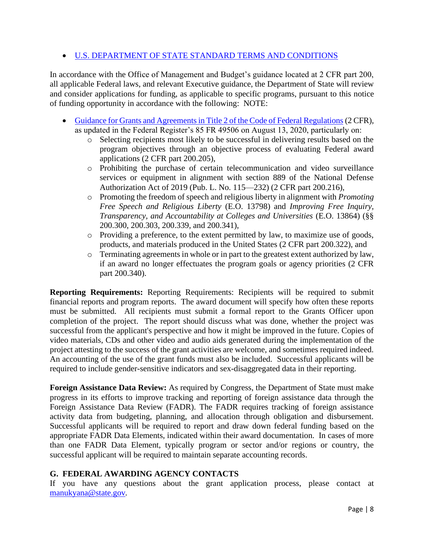## • [U.S. DEPARTMENT OF STATE STANDARD TERMS AND CONDITIONS](https://www.state.gov/about-us-office-of-the-procurement-executive/)

In accordance with the Office of Management and Budget's guidance located at 2 CFR part 200, all applicable Federal laws, and relevant Executive guidance, the Department of State will review and consider applications for funding, as applicable to specific programs, pursuant to this notice of funding opportunity in accordance with the following: NOTE:

- [Guidance for Grants and Agreements in Title 2 of the Code of Federal Regulations](https://www.ecfr.gov/cgi-bin/text-idx?SID=81a5f41de81c46a9844617d93a9db081&mc=true&node=pt2.1.200&rgn=div5) (2 CFR), as updated in the Federal Register's 85 FR 49506 on August 13, 2020, particularly on:
	- o Selecting recipients most likely to be successful in delivering results based on the program objectives through an objective process of evaluating Federal award applications (2 CFR part 200.205),
	- o Prohibiting the purchase of certain telecommunication and video surveillance services or equipment in alignment with section 889 of the National Defense Authorization Act of 2019 (Pub. L. No. 115—232) (2 CFR part 200.216),
	- o Promoting the freedom of speech and religious liberty in alignment with *Promoting Free Speech and Religious Liberty* (E.O. 13798) and *Improving Free Inquiry, Transparency, and Accountability at Colleges and Universities* (E.O. 13864) (§§ 200.300, 200.303, 200.339, and 200.341),
	- o Providing a preference, to the extent permitted by law, to maximize use of goods, products, and materials produced in the United States (2 CFR part 200.322), and
	- o Terminating agreements in whole or in part to the greatest extent authorized by law, if an award no longer effectuates the program goals or agency priorities (2 CFR part 200.340).

**Reporting Requirements:** Reporting Requirements: Recipients will be required to submit financial reports and program reports. The award document will specify how often these reports must be submitted. All recipients must submit a formal report to the Grants Officer upon completion of the project. The report should discuss what was done, whether the project was successful from the applicant's perspective and how it might be improved in the future. Copies of video materials, CDs and other video and audio aids generated during the implementation of the project attesting to the success of the grant activities are welcome, and sometimes required indeed. An accounting of the use of the grant funds must also be included. Successful applicants will be required to include gender-sensitive indicators and sex-disaggregated data in their reporting.

**Foreign Assistance Data Review:** As required by Congress, the Department of State must make progress in its efforts to improve tracking and reporting of foreign assistance data through the Foreign Assistance Data Review (FADR). The FADR requires tracking of foreign assistance activity data from budgeting, planning, and allocation through obligation and disbursement. Successful applicants will be required to report and draw down federal funding based on the appropriate FADR Data Elements, indicated within their award documentation. In cases of more than one FADR Data Element, typically program or sector and/or regions or country, the successful applicant will be required to maintain separate accounting records.

### **G. FEDERAL AWARDING AGENCY CONTACTS**

If you have any questions about the grant application process, please contact at [manukyana@state.gov](mailto:manukyana@state.gov)*.*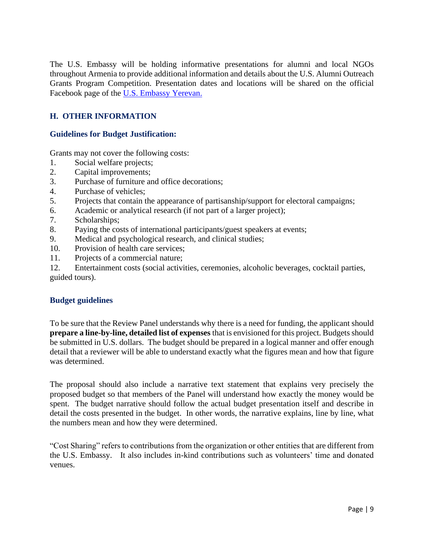The U.S. Embassy will be holding informative presentations for alumni and local NGOs throughout Armenia to provide additional information and details about the U.S. Alumni Outreach Grants Program Competition. Presentation dates and locations will be shared on the official Facebook page of the [U.S. Embassy](https://www.facebook.com/usdos.armenia/?fref=ts&ref=br_tf) Yerevan.

# **H. OTHER INFORMATION**

### **Guidelines for Budget Justification:**

Grants may not cover the following costs:

- 1. Social welfare projects;
- 2. Capital improvements;
- 3. Purchase of furniture and office decorations;
- 4. Purchase of vehicles;
- 5. Projects that contain the appearance of partisanship/support for electoral campaigns;
- 6. Academic or analytical research (if not part of a larger project);
- 7. Scholarships;
- 8. Paying the costs of international participants/guest speakers at events;
- 9. Medical and psychological research, and clinical studies;
- 10. Provision of health care services;
- 11. Projects of a commercial nature;

12. Entertainment costs (social activities, ceremonies, alcoholic beverages, cocktail parties, guided tours).

### **Budget guidelines**

To be sure that the Review Panel understands why there is a need for funding, the applicant should **prepare a line-by-line, detailed list of expenses** that is envisioned for this project. Budgets should be submitted in U.S. dollars. The budget should be prepared in a logical manner and offer enough detail that a reviewer will be able to understand exactly what the figures mean and how that figure was determined.

The proposal should also include a narrative text statement that explains very precisely the proposed budget so that members of the Panel will understand how exactly the money would be spent. The budget narrative should follow the actual budget presentation itself and describe in detail the costs presented in the budget. In other words, the narrative explains, line by line, what the numbers mean and how they were determined.

"Cost Sharing" refers to contributions from the organization or other entities that are different from the U.S. Embassy. It also includes in-kind contributions such as volunteers' time and donated venues.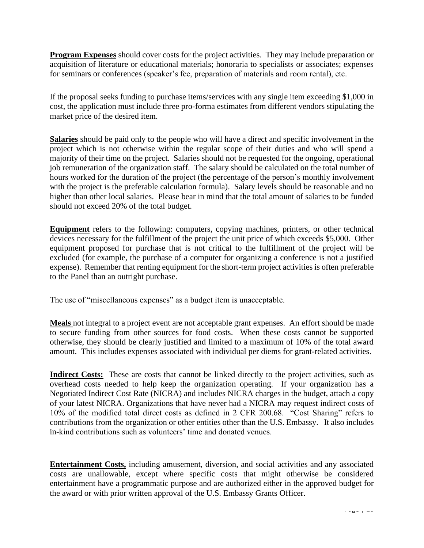**Program Expenses** should cover costs for the project activities. They may include preparation or acquisition of literature or educational materials; honoraria to specialists or associates; expenses for seminars or conferences (speaker's fee, preparation of materials and room rental), etc.

If the proposal seeks funding to purchase items/services with any single item exceeding \$1,000 in cost, the application must include three pro-forma estimates from different vendors stipulating the market price of the desired item.

**Salaries** should be paid only to the people who will have a direct and specific involvement in the project which is not otherwise within the regular scope of their duties and who will spend a majority of their time on the project. Salaries should not be requested for the ongoing, operational job remuneration of the organization staff. The salary should be calculated on the total number of hours worked for the duration of the project (the percentage of the person's monthly involvement with the project is the preferable calculation formula). Salary levels should be reasonable and no higher than other local salaries. Please bear in mind that the total amount of salaries to be funded should not exceed 20% of the total budget.

**Equipment** refers to the following: computers, copying machines, printers, or other technical devices necessary for the fulfillment of the project the unit price of which exceeds \$5,000. Other equipment proposed for purchase that is not critical to the fulfillment of the project will be excluded (for example, the purchase of a computer for organizing a conference is not a justified expense). Remember that renting equipment for the short-term project activities is often preferable to the Panel than an outright purchase.

The use of "miscellaneous expenses" as a budget item is unacceptable.

**Meals** not integral to a project event are not acceptable grant expenses. An effort should be made to secure funding from other sources for food costs. When these costs cannot be supported otherwise, they should be clearly justified and limited to a maximum of 10% of the total award amount. This includes expenses associated with individual per diems for grant-related activities.

**Indirect Costs:** These are costs that cannot be linked directly to the project activities, such as overhead costs needed to help keep the organization operating. If your organization has a Negotiated Indirect Cost Rate (NICRA) and includes NICRA charges in the budget, attach a copy of your latest NICRA. Organizations that have never had a NICRA may request indirect costs of 10% of the modified total direct costs as defined in 2 CFR 200.68. "Cost Sharing" refers to contributions from the organization or other entities other than the U.S. Embassy. It also includes in-kind contributions such as volunteers' time and donated venues.

**Entertainment Costs,** including amusement, diversion, and social activities and any associated costs are unallowable, except where specific costs that might otherwise be considered entertainment have a programmatic purpose and are authorized either in the approved budget for the award or with prior written approval of the U.S. Embassy Grants Officer.